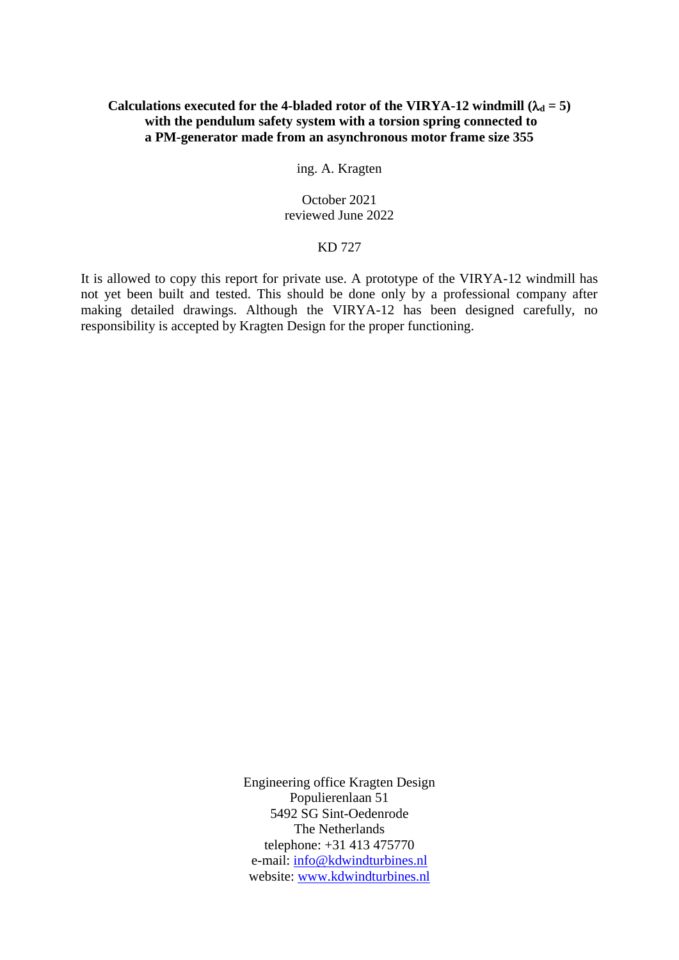# Calculations executed for the 4-bladed rotor of the VIRYA-12 windmill  $(\lambda_d = 5)$ **with the pendulum safety system with a torsion spring connected to a PM-generator made from an asynchronous motor frame size 355**

ing. A. Kragten

October 2021 reviewed June 2022

## KD 727

It is allowed to copy this report for private use. A prototype of the VIRYA-12 windmill has not yet been built and tested. This should be done only by a professional company after making detailed drawings. Although the VIRYA-12 has been designed carefully, no responsibility is accepted by Kragten Design for the proper functioning.

> Engineering office Kragten Design Populierenlaan 51 5492 SG Sint-Oedenrode The Netherlands telephone: +31 413 475770 e-mail: [info@kdwindturbines.nl](mailto:info@kdwindturbines.nl) website: [www.kdwindturbines.nl](http://www.kdwindturbines.nl/)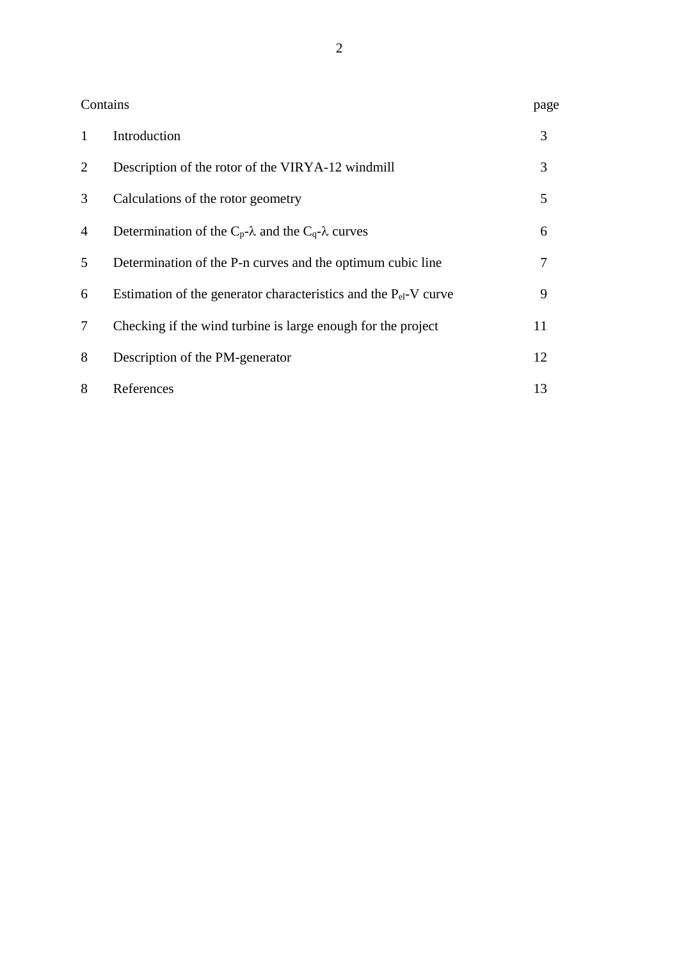| Contains       |                                                                         |    |  |  |  |
|----------------|-------------------------------------------------------------------------|----|--|--|--|
| $\mathbf{1}$   | Introduction                                                            | 3  |  |  |  |
| $\overline{2}$ | Description of the rotor of the VIRYA-12 windmill                       | 3  |  |  |  |
| 3              | Calculations of the rotor geometry                                      | 5  |  |  |  |
| 4              | Determination of the $C_p$ - $\lambda$ and the $C_q$ - $\lambda$ curves | 6  |  |  |  |
| 5              | Determination of the P-n curves and the optimum cubic line              | 7  |  |  |  |
| 6              | Estimation of the generator characteristics and the $P_{el}$ -V curve   | 9  |  |  |  |
| 7              | Checking if the wind turbine is large enough for the project            | 11 |  |  |  |
| 8              | Description of the PM-generator                                         | 12 |  |  |  |
| 8              | References                                                              | 13 |  |  |  |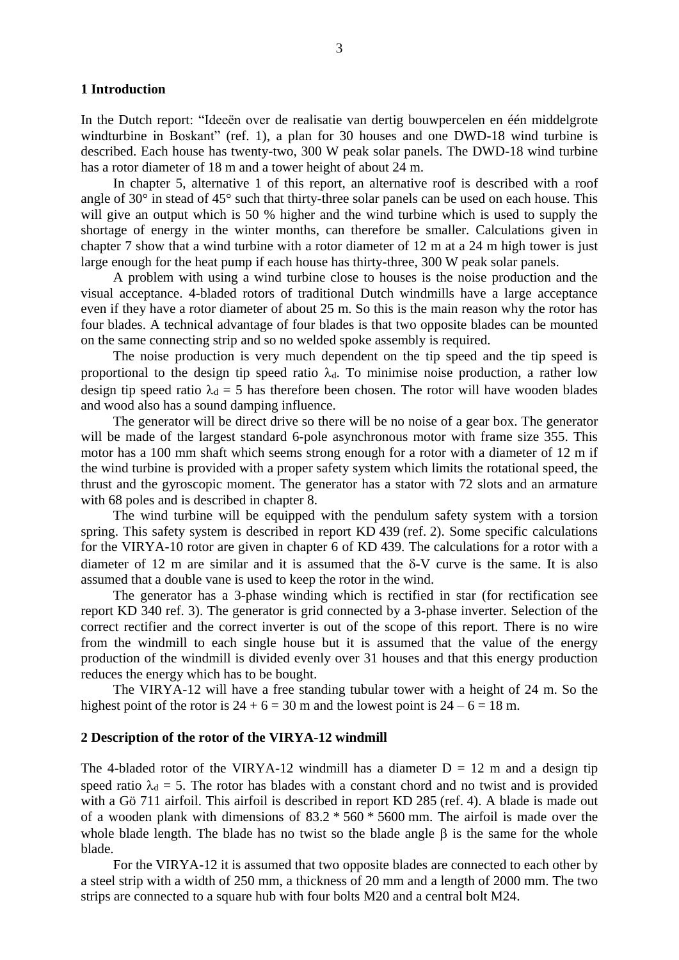#### **1 Introduction**

In the Dutch report: "Ideeën over de realisatie van dertig bouwpercelen en één middelgrote windturbine in Boskant" (ref. 1), a plan for 30 houses and one DWD-18 wind turbine is described. Each house has twenty-two, 300 W peak solar panels. The DWD-18 wind turbine has a rotor diameter of 18 m and a tower height of about 24 m.

In chapter 5, alternative 1 of this report, an alternative roof is described with a roof angle of 30° in stead of 45° such that thirty-three solar panels can be used on each house. This will give an output which is 50 % higher and the wind turbine which is used to supply the shortage of energy in the winter months, can therefore be smaller. Calculations given in chapter 7 show that a wind turbine with a rotor diameter of 12 m at a 24 m high tower is just large enough for the heat pump if each house has thirty-three, 300 W peak solar panels.

A problem with using a wind turbine close to houses is the noise production and the visual acceptance. 4-bladed rotors of traditional Dutch windmills have a large acceptance even if they have a rotor diameter of about 25 m. So this is the main reason why the rotor has four blades. A technical advantage of four blades is that two opposite blades can be mounted on the same connecting strip and so no welded spoke assembly is required.

The noise production is very much dependent on the tip speed and the tip speed is proportional to the design tip speed ratio  $\lambda_d$ . To minimise noise production, a rather low design tip speed ratio  $\lambda_d = 5$  has therefore been chosen. The rotor will have wooden blades and wood also has a sound damping influence.

The generator will be direct drive so there will be no noise of a gear box. The generator will be made of the largest standard 6-pole asynchronous motor with frame size 355. This motor has a 100 mm shaft which seems strong enough for a rotor with a diameter of 12 m if the wind turbine is provided with a proper safety system which limits the rotational speed, the thrust and the gyroscopic moment. The generator has a stator with 72 slots and an armature with 68 poles and is described in chapter 8.

The wind turbine will be equipped with the pendulum safety system with a torsion spring. This safety system is described in report KD 439 (ref. 2). Some specific calculations for the VIRYA-10 rotor are given in chapter 6 of KD 439. The calculations for a rotor with a diameter of 12 m are similar and it is assumed that the  $\delta$ -V curve is the same. It is also assumed that a double vane is used to keep the rotor in the wind.

The generator has a 3-phase winding which is rectified in star (for rectification see report KD 340 ref. 3). The generator is grid connected by a 3-phase inverter. Selection of the correct rectifier and the correct inverter is out of the scope of this report. There is no wire from the windmill to each single house but it is assumed that the value of the energy production of the windmill is divided evenly over 31 houses and that this energy production reduces the energy which has to be bought.

The VIRYA-12 will have a free standing tubular tower with a height of 24 m. So the highest point of the rotor is  $24 + 6 = 30$  m and the lowest point is  $24 - 6 = 18$  m.

### **2 Description of the rotor of the VIRYA-12 windmill**

The 4-bladed rotor of the VIRYA-12 windmill has a diameter  $D = 12$  m and a design tip speed ratio  $\lambda_d = 5$ . The rotor has blades with a constant chord and no twist and is provided with a Gö 711 airfoil. This airfoil is described in report KD 285 (ref. 4). A blade is made out of a wooden plank with dimensions of  $83.2 * 560 * 5600$  mm. The airfoil is made over the whole blade length. The blade has no twist so the blade angle  $\beta$  is the same for the whole blade.

For the VIRYA-12 it is assumed that two opposite blades are connected to each other by a steel strip with a width of 250 mm, a thickness of 20 mm and a length of 2000 mm. The two strips are connected to a square hub with four bolts M20 and a central bolt M24.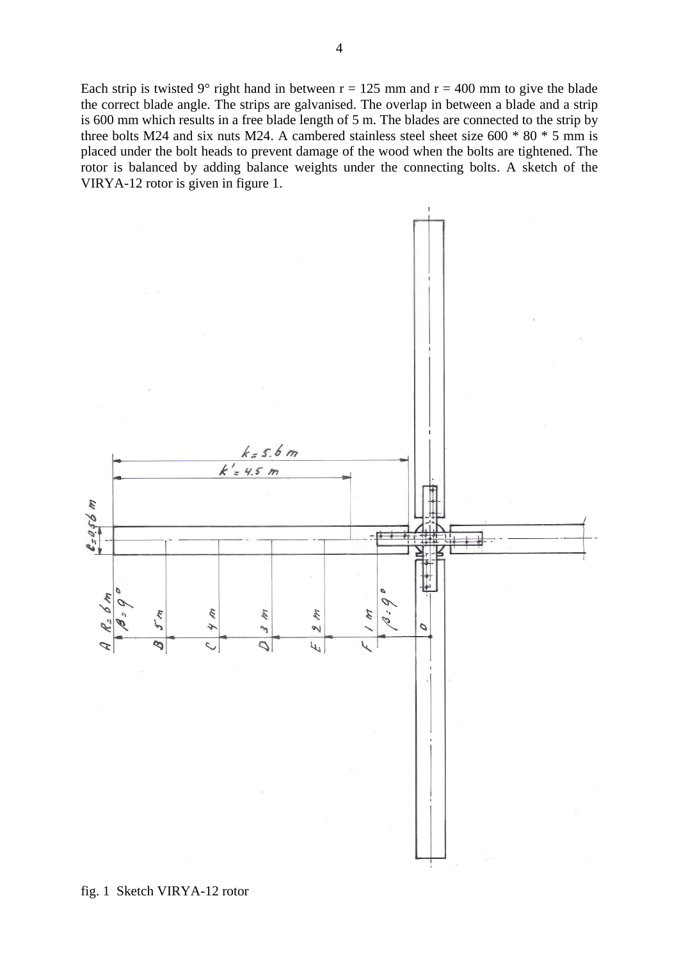Each strip is twisted 9° right hand in between  $r = 125$  mm and  $r = 400$  mm to give the blade the correct blade angle. The strips are galvanised. The overlap in between a blade and a strip is 600 mm which results in a free blade length of 5 m. The blades are connected to the strip by three bolts M24 and six nuts M24. A cambered stainless steel sheet size 600 \* 80 \* 5 mm is placed under the bolt heads to prevent damage of the wood when the bolts are tightened. The rotor is balanced by adding balance weights under the connecting bolts. A sketch of the VIRYA-12 rotor is given in figure 1.

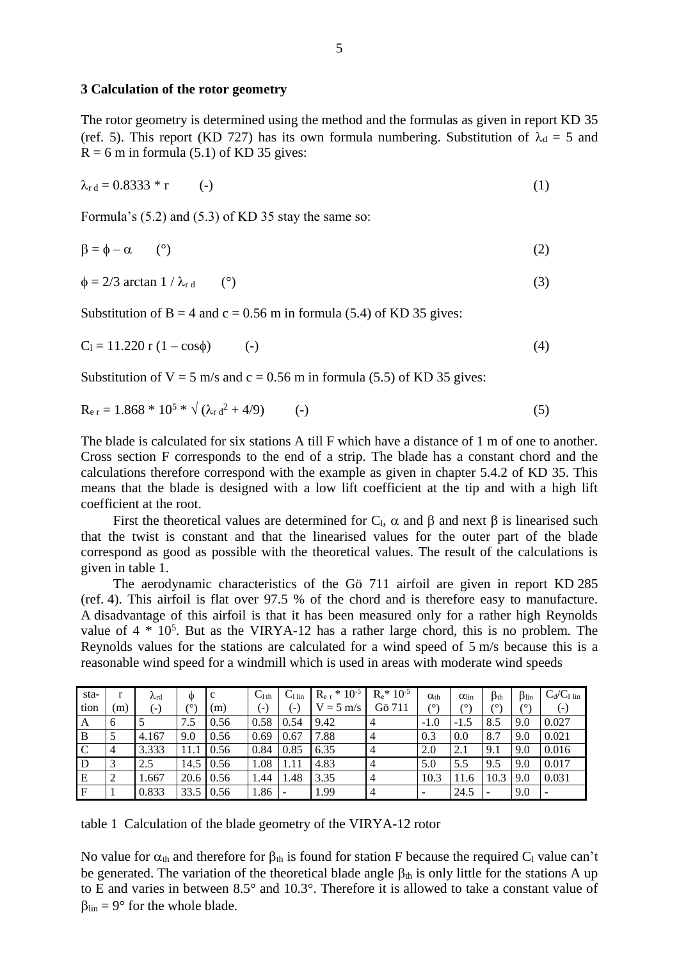### **3 Calculation of the rotor geometry**

The rotor geometry is determined using the method and the formulas as given in report KD 35 (ref. 5). This report (KD 727) has its own formula numbering. Substitution of  $\lambda_d = 5$  and  $R = 6$  m in formula (5.1) of KD 35 gives:

$$
\lambda_{\rm rd} = 0.8333 * r \tag{1}
$$

Formula's (5.2) and (5.3) of KD 35 stay the same so:

$$
\beta = \phi - \alpha \tag{2}
$$

$$
\phi = 2/3 \arctan 1 / \lambda_{\rm rd} \qquad (°)
$$
 (3)

Substitution of  $B = 4$  and  $c = 0.56$  m in formula (5.4) of KD 35 gives:

$$
C_1 = 11.220 \, r \, (1 - \cos \phi) \tag{4}
$$

Substitution of  $V = 5$  m/s and  $c = 0.56$  m in formula (5.5) of KD 35 gives:

$$
R_{\rm e r} = 1.868 * 10^5 * \sqrt{(\lambda_{\rm r} d^2 + 4/9)} \qquad (-)
$$
 (5)

The blade is calculated for six stations A till F which have a distance of 1 m of one to another. Cross section F corresponds to the end of a strip. The blade has a constant chord and the calculations therefore correspond with the example as given in chapter 5.4.2 of KD 35. This means that the blade is designed with a low lift coefficient at the tip and with a high lift coefficient at the root.

First the theoretical values are determined for  $C_l$ ,  $\alpha$  and  $\beta$  and next  $\beta$  is linearised such that the twist is constant and that the linearised values for the outer part of the blade correspond as good as possible with the theoretical values. The result of the calculations is given in table 1.

The aerodynamic characteristics of the Gö 711 airfoil are given in report KD 285 (ref. 4). This airfoil is flat over 97.5 % of the chord and is therefore easy to manufacture. A disadvantage of this airfoil is that it has been measured only for a rather high Reynolds value of  $4 * 10^5$ . But as the VIRYA-12 has a rather large chord, this is no problem. The Reynolds values for the stations are calculated for a wind speed of 5 m/s because this is a reasonable wind speed for a windmill which is used in areas with moderate wind speeds

| sta-          |                | $\mathcal{N}_{\text{rd}}$ | $\Phi$           | $\mathbf c$     | $C_{1\text{ th}}$ | C <sub>1 lin</sub> | $R_{e\,r} * 10^{-5}$ | $R_e$ * $10^{-5}$ | $\alpha_{\text{th}}$     | $\alpha_{lin}$ | $\beta_{th}$ | $\beta_{lin}$ | $C_d/C_l$ lin |
|---------------|----------------|---------------------------|------------------|-----------------|-------------------|--------------------|----------------------|-------------------|--------------------------|----------------|--------------|---------------|---------------|
| tion          | (m)            | (-)                       | (Ο,              | (m)             | $(-)$             | ( – )              | $V = 5$ m/s          | Gö 711            | (0)                      | $\sqrt{0}$     | (٥١          | (٥١           | $(-)$         |
| $\mathbf{A}$  | 6              |                           | 7.5              | 0.56            | 0.58              | 0.54               | 9.42                 | $\overline{4}$    | $-1.0$                   | $-1.5$         | 8.5          | 9.0           | 0.027         |
| B             |                | 4.167                     | 9.0              | 0.56            | 0.69              | 0.67               | 7.88                 | $\overline{4}$    | 0.3                      | 0.0            | 8.7          | 9.0           | 0.021         |
| $\mathcal{C}$ | $\overline{4}$ | 3.333                     | 11.1             | 0.56            | 0.84              | 0.85               | 6.35                 | 4                 | 2.0                      | 2.1            | 9.1          | 9.0           | 0.016         |
| D             | 3              | 2.5                       |                  | $14.5 \pm 0.56$ | 1.08              | 1.11               | 4.83                 | $\overline{4}$    | 5.0                      | 5.5            | 9.5          | 9.0           | 0.017         |
| Ε             | 2              | 1.667                     | $20.6 \mid 0.56$ |                 | 1.44              | .48                | 3.35                 |                   | 10.3                     | 11.6           | 10.3         | 9.0           | 0.031         |
| $\mathbf F$   |                | 0.833                     | 33.5             | 0.56            | 1.86              |                    | 1.99                 | $\overline{4}$    | $\overline{\phantom{a}}$ | 24.5           |              | 9.0           |               |

table 1 Calculation of the blade geometry of the VIRYA-12 rotor

No value for  $\alpha_{th}$  and therefore for  $\beta_{th}$  is found for station F because the required C<sub>l</sub> value can't be generated. The variation of the theoretical blade angle  $\beta_{th}$  is only little for the stations A up to E and varies in between 8.5° and 10.3°. Therefore it is allowed to take a constant value of  $\beta_{\text{lin}} = 9^{\circ}$  for the whole blade.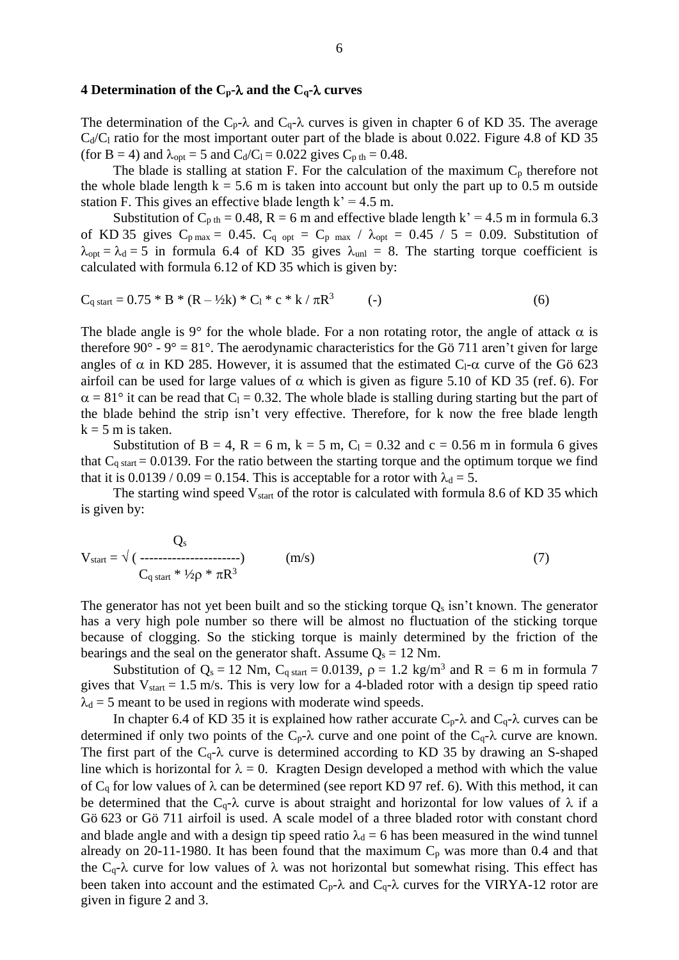#### **4 Determination of the**  $C_p$ **-** $\lambda$  **and the**  $C_q$ **-** $\lambda$  **curves**

The determination of the C<sub>p</sub>- $\lambda$  and C<sub>q</sub>- $\lambda$  curves is given in chapter 6 of KD 35. The average  $C_d/C_l$  ratio for the most important outer part of the blade is about 0.022. Figure 4.8 of KD 35 (for B = 4) and  $\lambda_{opt} = 5$  and  $C_d/C_l = 0.022$  gives  $C_p$ <sub>th</sub> = 0.48.

The blade is stalling at station F. For the calculation of the maximum  $C_p$  therefore not the whole blade length  $k = 5.6$  m is taken into account but only the part up to 0.5 m outside station F. This gives an effective blade length  $k' = 4.5$  m.

Substitution of  $C_{p \text{ th}} = 0.48$ , R = 6 m and effective blade length k' = 4.5 m in formula 6.3 of KD 35 gives  $C_{p \text{ max}} = 0.45$ .  $C_{q \text{ opt}} = C_{p \text{ max}} / \lambda_{opt} = 0.45 / 5 = 0.09$ . Substitution of  $\lambda_{opt} = \lambda_d = 5$  in formula 6.4 of KD 35 gives  $\lambda_{unl} = 8$ . The starting torque coefficient is calculated with formula 6.12 of KD 35 which is given by:

$$
C_{q\,\text{start}} = 0.75 \,^* B \,^* (R - \frac{1}{2}k) \,^* C_1 \,^* c \,^* k / \pi R^3 \tag{6}
$$

The blade angle is 9° for the whole blade. For a non rotating rotor, the angle of attack  $\alpha$  is therefore 90 $\degree$  - 9 $\degree$  = 81 $\degree$ . The aerodynamic characteristics for the Gö 711 aren't given for large angles of  $\alpha$  in KD 285. However, it is assumed that the estimated C<sub>1</sub>- $\alpha$  curve of the Gö 623 airfoil can be used for large values of  $\alpha$  which is given as figure 5.10 of KD 35 (ref. 6). For  $\alpha = 81^\circ$  it can be read that C<sub>l</sub> = 0.32. The whole blade is stalling during starting but the part of the blade behind the strip isn't very effective. Therefore, for k now the free blade length  $k = 5$  m is taken.

Substitution of B = 4, R = 6 m, k = 5 m, C<sub>1</sub> = 0.32 and c = 0.56 m in formula 6 gives that  $C_{q \text{ start}} = 0.0139$ . For the ratio between the starting torque and the optimum torque we find that it is  $0.0139 / 0.09 = 0.154$ . This is acceptable for a rotor with  $\lambda_d = 5$ .

The starting wind speed  $V_{start}$  of the rotor is calculated with formula 8.6 of KD 35 which is given by:

$$
V_{\text{start}} = \sqrt{(}
$$
 ( ( ())
$$
C_{q \text{ start}} * \frac{1}{2} \rho * \pi R^3
$$
 (7)

The generator has not yet been built and so the sticking torque  $Q_s$  isn't known. The generator has a very high pole number so there will be almost no fluctuation of the sticking torque because of clogging. So the sticking torque is mainly determined by the friction of the bearings and the seal on the generator shaft. Assume  $Q_s = 12$  Nm.

Substitution of  $Q_s = 12$  Nm,  $C_{q \text{ start}} = 0.0139$ ,  $\rho = 1.2$  kg/m<sup>3</sup> and R = 6 m in formula 7 gives that  $V_{start} = 1.5$  m/s. This is very low for a 4-bladed rotor with a design tip speed ratio  $\lambda_d = 5$  meant to be used in regions with moderate wind speeds.

In chapter 6.4 of KD 35 it is explained how rather accurate  $C_p$ - $\lambda$  and  $C_q$ - $\lambda$  curves can be determined if only two points of the  $C_p$ - $\lambda$  curve and one point of the  $C_q$ - $\lambda$  curve are known. The first part of the  $C_q$ - $\lambda$  curve is determined according to KD 35 by drawing an S-shaped line which is horizontal for  $\lambda = 0$ . Kragten Design developed a method with which the value of  $C_q$  for low values of  $\lambda$  can be determined (see report KD 97 ref. 6). With this method, it can be determined that the C<sub>q</sub>- $\lambda$  curve is about straight and horizontal for low values of  $\lambda$  if a Gö 623 or Gö 711 airfoil is used. A scale model of a three bladed rotor with constant chord and blade angle and with a design tip speed ratio  $\lambda_d = 6$  has been measured in the wind tunnel already on 20-11-1980. It has been found that the maximum  $C_p$  was more than 0.4 and that the C<sub>q</sub>- $\lambda$  curve for low values of  $\lambda$  was not horizontal but somewhat rising. This effect has been taken into account and the estimated  $C_p$ - $\lambda$  and  $C_q$ - $\lambda$  curves for the VIRYA-12 rotor are given in figure 2 and 3.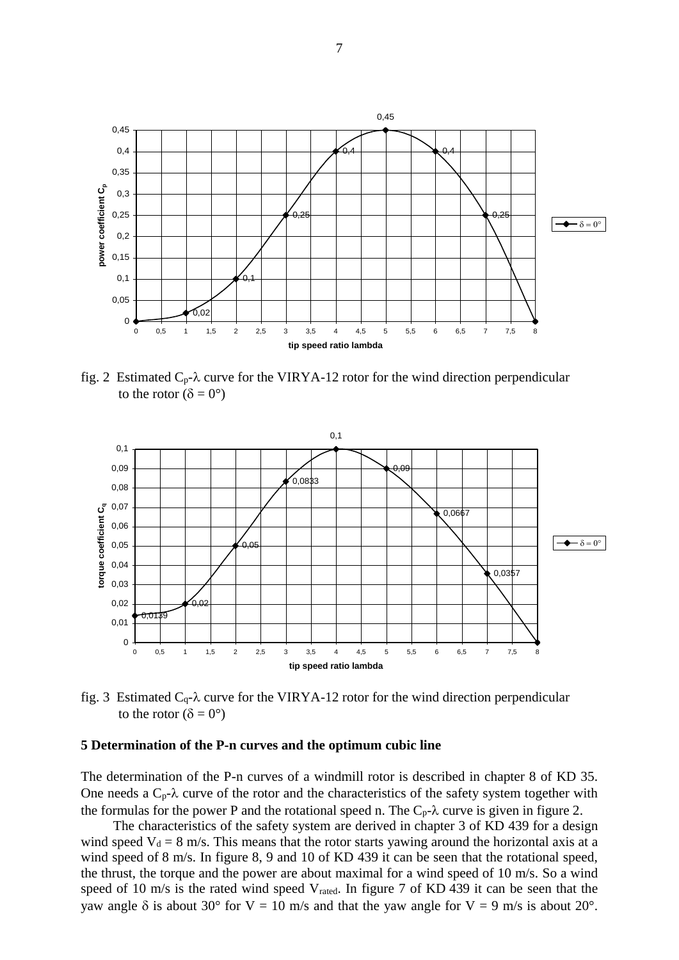

fig. 2 Estimated  $C_p$ - $\lambda$  curve for the VIRYA-12 rotor for the wind direction perpendicular to the rotor ( $\delta = 0^{\circ}$ )



fig. 3 Estimated  $C_q$ - $\lambda$  curve for the VIRYA-12 rotor for the wind direction perpendicular to the rotor ( $\delta = 0^{\circ}$ )

#### **5 Determination of the P-n curves and the optimum cubic line**

The determination of the P-n curves of a windmill rotor is described in chapter 8 of KD 35. One needs a  $C_p$ - $\lambda$  curve of the rotor and the characteristics of the safety system together with the formulas for the power P and the rotational speed n. The  $C_p$ - $\lambda$  curve is given in figure 2.

The characteristics of the safety system are derived in chapter 3 of KD 439 for a design wind speed  $V_d = 8$  m/s. This means that the rotor starts yawing around the horizontal axis at a wind speed of 8 m/s. In figure 8, 9 and 10 of KD 439 it can be seen that the rotational speed, the thrust, the torque and the power are about maximal for a wind speed of 10 m/s. So a wind speed of 10 m/s is the rated wind speed  $V_{\text{rated}}$ . In figure 7 of KD 439 it can be seen that the yaw angle  $\delta$  is about 30° for V = 10 m/s and that the yaw angle for V = 9 m/s is about 20°.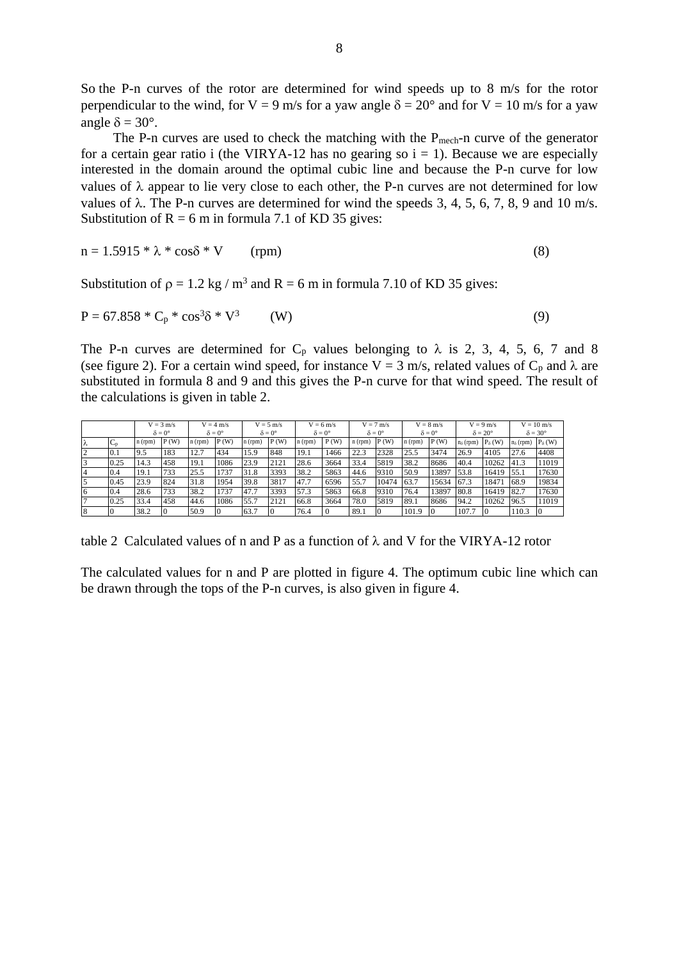So the P-n curves of the rotor are determined for wind speeds up to 8 m/s for the rotor perpendicular to the wind, for V = 9 m/s for a yaw angle  $\delta = 20^{\circ}$  and for V = 10 m/s for a yaw angle  $\delta = 30^\circ$ .

The P-n curves are used to check the matching with the  $P_{mech}$ -n curve of the generator for a certain gear ratio i (the VIRYA-12 has no gearing so  $i = 1$ ). Because we are especially interested in the domain around the optimal cubic line and because the P-n curve for low values of  $\lambda$  appear to lie very close to each other, the P-n curves are not determined for low values of  $\lambda$ . The P-n curves are determined for wind the speeds 3, 4, 5, 6, 7, 8, 9 and 10 m/s. Substitution of  $R = 6$  m in formula 7.1 of KD 35 gives:

$$
n = 1.5915 * \lambda * \cos\delta * V \qquad (rpm)
$$
 (8)

Substitution of  $p = 1.2$  kg / m<sup>3</sup> and R = 6 m in formula 7.10 of KD 35 gives:

$$
P = 67.858 * Cp * cos3δ * V3
$$
 (W) (9)

The P-n curves are determined for  $C_p$  values belonging to  $\lambda$  is 2, 3, 4, 5, 6, 7 and 8 (see figure 2). For a certain wind speed, for instance  $V = 3$  m/s, related values of  $C_p$  and  $\lambda$  are substituted in formula 8 and 9 and this gives the P-n curve for that wind speed. The result of the calculations is given in table 2.

|   |             | $V = 3$ m/s          |      | $V = 4$ m/s          |      | $V = 5$ m/s          |      | $V = 6$ m/s        |      | $V = 7$ m/s          |       | $V = 8$ m/s          |       | $V = 9$ m/s           |                  | $V = 10$ m/s          |                 |
|---|-------------|----------------------|------|----------------------|------|----------------------|------|--------------------|------|----------------------|-------|----------------------|-------|-----------------------|------------------|-----------------------|-----------------|
|   |             | $\delta = 0^{\circ}$ |      | $\delta = 0^{\circ}$ |      | $\delta = 0^{\circ}$ |      | $\delta = 0^\circ$ |      | $\delta = 0^{\circ}$ |       | $\delta = 0^{\circ}$ |       | $\delta = 20^{\circ}$ |                  | $\delta = 30^{\circ}$ |                 |
| π | $\sim$<br>◡ | n(rpm)               | P(W) | n(rpm)               | P(W) | n (rpm)              | P(W) | $n$ (rpm)          | P(W) | n (rpm)              | P(W)  | $n$ (rpm)            | P(W)  | $n_{\delta}$ (rpm)    | $P_{\delta}$ (W) | $n_{\delta}$ (rpm)    | $P_{\delta}(W)$ |
|   | 0.1         | 9.5                  | 183  | 12.7                 | 434  | 15.9                 | 848  | 19.1               | 1466 | 22.3                 | 2328  | 25.5                 | 3474  | 26.9                  | 4105             | 27.6                  | 4408            |
|   | 0.25        | 14.3                 | 458  | 19.1                 | 1086 | 23.9                 | 2121 | 28.6               | 3664 | 33.4                 | 5819  | 38.2                 | 8686  | 40.4                  | 10262            | 41.3                  | 11019           |
| 4 | 0.4         | 19.1                 | 733  | 25.5                 | .737 | 31.8                 | 3393 | 38.2               | 5863 | 44.6                 | 9310  | 50.9                 | 13897 | 53.8                  | 16419            | 55.1                  | 17630           |
|   | 0.45        | 23.9                 | 824  | 31.8                 | 1954 | 39.8                 | 3817 | 47.7               | 6596 | 55.                  | 10474 | 63.7                 | 15634 | 67.3                  | 18471            | 68.9                  | 19834           |
| 6 | 0.4         | 28.6                 | 733  | 38.2                 | 1737 | 47.7                 | 3393 | 57.3               | 5863 | 66.8                 | 9310  | 76.4                 | 13897 | 80.8                  | 16419            | 82.7                  | 17630           |
|   | 0.25        | 33.4                 | 458  | 44.6                 | 1086 | 55.7                 | 2121 | 66.8               | 3664 | 78.0                 | 5819  | 89.1                 | 8686  | 94.2                  | 10262            | 96.5                  | 11019           |
| 8 | ιU          | 38.2                 |      | 50.9                 |      | 63.7                 |      | 76.4               |      | 89.1                 |       | 101.9                |       | 107.7                 | Ю                | 10.3                  |                 |

table 2. Calculated values of n and P as a function of  $\lambda$  and V for the VIRYA-12 rotor

The calculated values for n and P are plotted in figure 4. The optimum cubic line which can be drawn through the tops of the P-n curves, is also given in figure 4.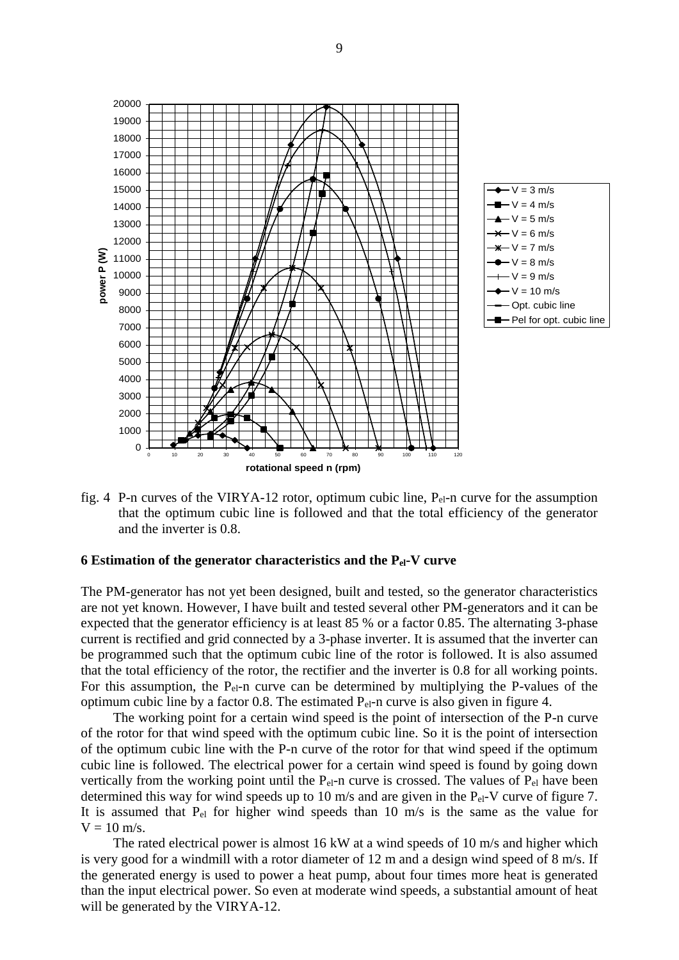

fig. 4 P-n curves of the VIRYA-12 rotor, optimum cubic line,  $P_{el}$ -n curve for the assumption that the optimum cubic line is followed and that the total efficiency of the generator and the inverter is 0.8.

#### **6 Estimation of the generator characteristics and the Pel-V curve**

The PM-generator has not yet been designed, built and tested, so the generator characteristics are not yet known. However, I have built and tested several other PM-generators and it can be expected that the generator efficiency is at least 85 % or a factor 0.85. The alternating 3-phase current is rectified and grid connected by a 3-phase inverter. It is assumed that the inverter can be programmed such that the optimum cubic line of the rotor is followed. It is also assumed that the total efficiency of the rotor, the rectifier and the inverter is 0.8 for all working points. For this assumption, the P<sub>el</sub>-n curve can be determined by multiplying the P-values of the optimum cubic line by a factor 0.8. The estimated  $P_{el}$ -n curve is also given in figure 4.

The working point for a certain wind speed is the point of intersection of the P-n curve of the rotor for that wind speed with the optimum cubic line. So it is the point of intersection of the optimum cubic line with the P-n curve of the rotor for that wind speed if the optimum cubic line is followed. The electrical power for a certain wind speed is found by going down vertically from the working point until the  $P_{el}$ -n curve is crossed. The values of  $P_{el}$  have been determined this way for wind speeds up to 10 m/s and are given in the  $P_{el}$ -V curve of figure 7. It is assumed that Pel for higher wind speeds than 10 m/s is the same as the value for  $V = 10$  m/s.

The rated electrical power is almost 16 kW at a wind speeds of 10 m/s and higher which is very good for a windmill with a rotor diameter of 12 m and a design wind speed of 8 m/s. If the generated energy is used to power a heat pump, about four times more heat is generated than the input electrical power. So even at moderate wind speeds, a substantial amount of heat will be generated by the VIRYA-12.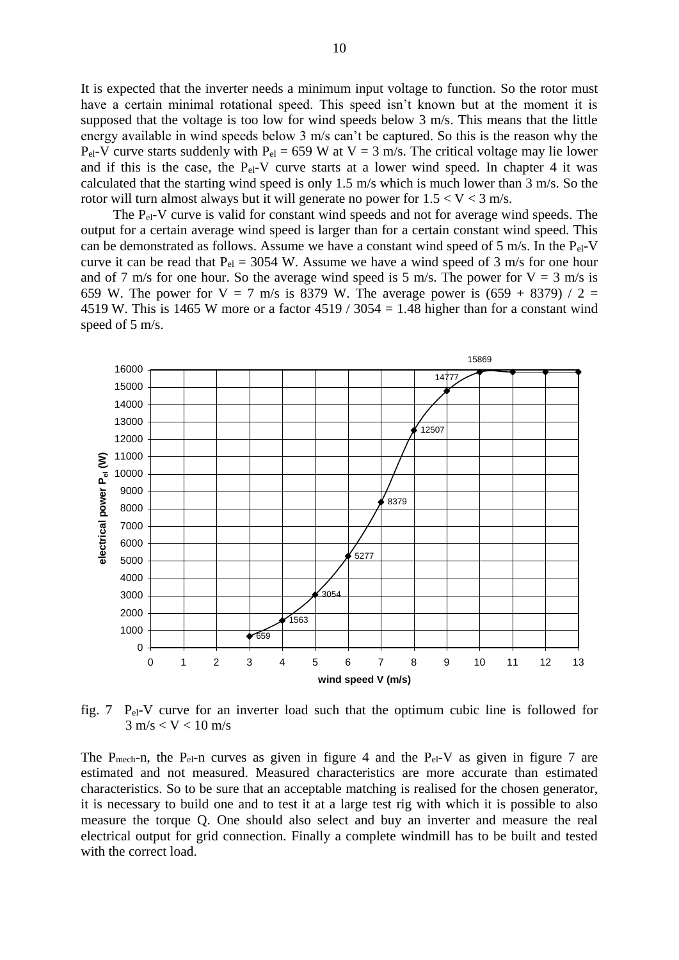It is expected that the inverter needs a minimum input voltage to function. So the rotor must have a certain minimal rotational speed. This speed isn't known but at the moment it is supposed that the voltage is too low for wind speeds below 3 m/s. This means that the little energy available in wind speeds below 3 m/s can't be captured. So this is the reason why the  $P_{el}-V$  curve starts suddenly with  $P_{el} = 659$  W at  $V = 3$  m/s. The critical voltage may lie lower and if this is the case, the  $P_{el}-V$  curve starts at a lower wind speed. In chapter 4 it was calculated that the starting wind speed is only 1.5 m/s which is much lower than 3 m/s. So the rotor will turn almost always but it will generate no power for  $1.5 < V < 3$  m/s.

The Pel-V curve is valid for constant wind speeds and not for average wind speeds. The output for a certain average wind speed is larger than for a certain constant wind speed. This can be demonstrated as follows. Assume we have a constant wind speed of 5 m/s. In the  $P_{el}$ -V curve it can be read that  $P_{el} = 3054$  W. Assume we have a wind speed of 3 m/s for one hour and of 7 m/s for one hour. So the average wind speed is 5 m/s. The power for  $V = 3$  m/s is 659 W. The power for  $V = 7$  m/s is 8379 W. The average power is (659 + 8379) / 2 = 4519 W. This is 1465 W more or a factor  $4519 / 3054 = 1.48$  higher than for a constant wind speed of 5 m/s.



fig. 7 Pel-V curve for an inverter load such that the optimum cubic line is followed for  $3 \text{ m/s} < V < 10 \text{ m/s}$ 

The P<sub>mech</sub>-n, the P<sub>el</sub>-n curves as given in figure 4 and the P<sub>el</sub>-V as given in figure 7 are estimated and not measured. Measured characteristics are more accurate than estimated characteristics. So to be sure that an acceptable matching is realised for the chosen generator, it is necessary to build one and to test it at a large test rig with which it is possible to also measure the torque Q. One should also select and buy an inverter and measure the real electrical output for grid connection. Finally a complete windmill has to be built and tested with the correct load.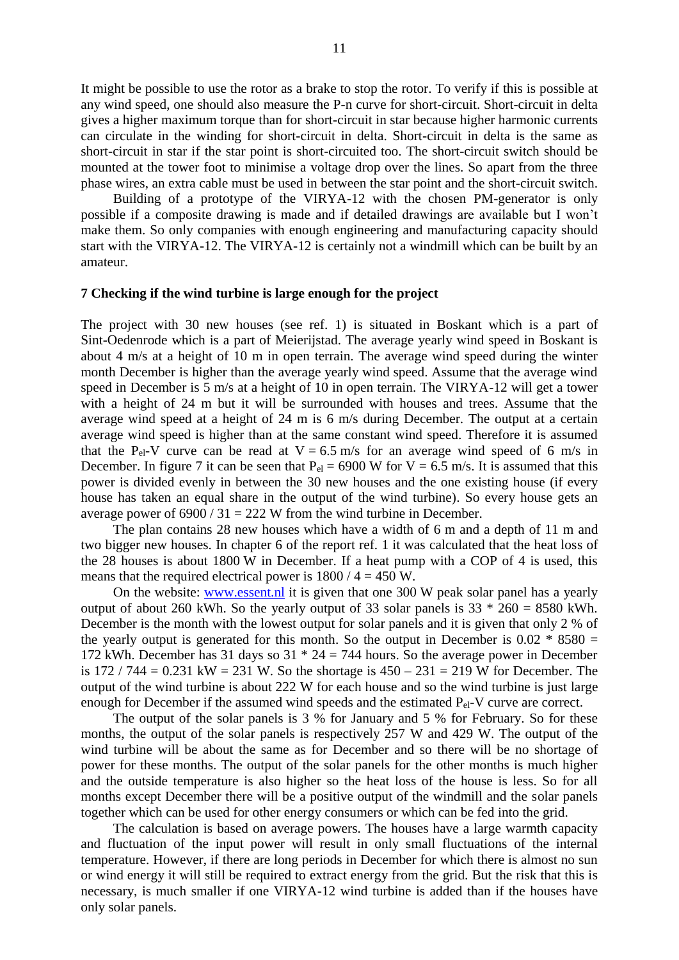It might be possible to use the rotor as a brake to stop the rotor. To verify if this is possible at any wind speed, one should also measure the P-n curve for short-circuit. Short-circuit in delta gives a higher maximum torque than for short-circuit in star because higher harmonic currents can circulate in the winding for short-circuit in delta. Short-circuit in delta is the same as short-circuit in star if the star point is short-circuited too. The short-circuit switch should be mounted at the tower foot to minimise a voltage drop over the lines. So apart from the three phase wires, an extra cable must be used in between the star point and the short-circuit switch.

Building of a prototype of the VIRYA-12 with the chosen PM-generator is only possible if a composite drawing is made and if detailed drawings are available but I won't make them. So only companies with enough engineering and manufacturing capacity should start with the VIRYA-12. The VIRYA-12 is certainly not a windmill which can be built by an amateur.

### **7 Checking if the wind turbine is large enough for the project**

The project with 30 new houses (see ref. 1) is situated in Boskant which is a part of Sint-Oedenrode which is a part of Meierijstad. The average yearly wind speed in Boskant is about 4 m/s at a height of 10 m in open terrain. The average wind speed during the winter month December is higher than the average yearly wind speed. Assume that the average wind speed in December is 5 m/s at a height of 10 in open terrain. The VIRYA-12 will get a tower with a height of 24 m but it will be surrounded with houses and trees. Assume that the average wind speed at a height of 24 m is 6 m/s during December. The output at a certain average wind speed is higher than at the same constant wind speed. Therefore it is assumed that the P<sub>el</sub>-V curve can be read at  $V = 6.5$  m/s for an average wind speed of 6 m/s in December. In figure 7 it can be seen that  $P_{el} = 6900$  W for  $V = 6.5$  m/s. It is assumed that this power is divided evenly in between the 30 new houses and the one existing house (if every house has taken an equal share in the output of the wind turbine). So every house gets an average power of  $6900 / 31 = 222$  W from the wind turbine in December.

The plan contains 28 new houses which have a width of 6 m and a depth of 11 m and two bigger new houses. In chapter 6 of the report ref. 1 it was calculated that the heat loss of the 28 houses is about 1800 W in December. If a heat pump with a COP of 4 is used, this means that the required electrical power is  $1800 / 4 = 450$  W.

On the website: [www.essent.nl](http://www.essent.nl/) it is given that one 300 W peak solar panel has a yearly output of about 260 kWh. So the yearly output of 33 solar panels is  $33 * 260 = 8580$  kWh. December is the month with the lowest output for solar panels and it is given that only 2 % of the yearly output is generated for this month. So the output in December is  $0.02 * 8580 =$ 172 kWh. December has 31 days so  $31 * 24 = 744$  hours. So the average power in December is  $172 / 744 = 0.231$  kW = 231 W. So the shortage is  $450 - 231 = 219$  W for December. The output of the wind turbine is about 222 W for each house and so the wind turbine is just large enough for December if the assumed wind speeds and the estimated  $P_{el}$ -V curve are correct.

The output of the solar panels is 3 % for January and 5 % for February. So for these months, the output of the solar panels is respectively 257 W and 429 W. The output of the wind turbine will be about the same as for December and so there will be no shortage of power for these months. The output of the solar panels for the other months is much higher and the outside temperature is also higher so the heat loss of the house is less. So for all months except December there will be a positive output of the windmill and the solar panels together which can be used for other energy consumers or which can be fed into the grid.

The calculation is based on average powers. The houses have a large warmth capacity and fluctuation of the input power will result in only small fluctuations of the internal temperature. However, if there are long periods in December for which there is almost no sun or wind energy it will still be required to extract energy from the grid. But the risk that this is necessary, is much smaller if one VIRYA-12 wind turbine is added than if the houses have only solar panels.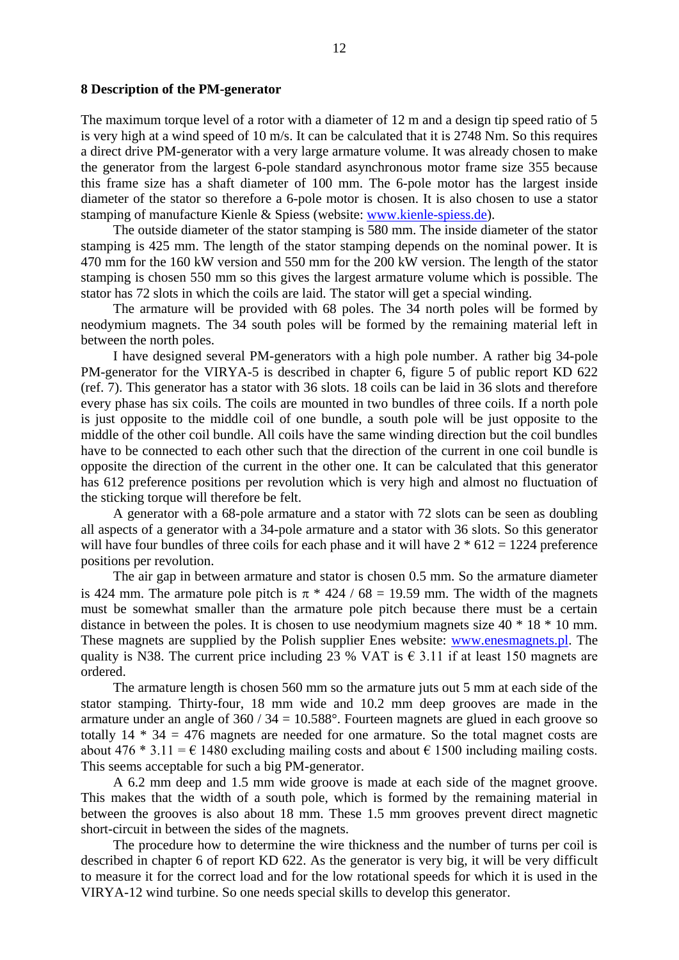## **8 Description of the PM-generator**

The maximum torque level of a rotor with a diameter of 12 m and a design tip speed ratio of 5 is very high at a wind speed of 10 m/s. It can be calculated that it is 2748 Nm. So this requires a direct drive PM-generator with a very large armature volume. It was already chosen to make the generator from the largest 6-pole standard asynchronous motor frame size 355 because this frame size has a shaft diameter of 100 mm. The 6-pole motor has the largest inside diameter of the stator so therefore a 6-pole motor is chosen. It is also chosen to use a stator stamping of manufacture Kienle & Spiess (website: [www.kienle-spiess.de\)](http://www.kienle-spiess.de/).

The outside diameter of the stator stamping is 580 mm. The inside diameter of the stator stamping is 425 mm. The length of the stator stamping depends on the nominal power. It is 470 mm for the 160 kW version and 550 mm for the 200 kW version. The length of the stator stamping is chosen 550 mm so this gives the largest armature volume which is possible. The stator has 72 slots in which the coils are laid. The stator will get a special winding.

The armature will be provided with 68 poles. The 34 north poles will be formed by neodymium magnets. The 34 south poles will be formed by the remaining material left in between the north poles.

I have designed several PM-generators with a high pole number. A rather big 34-pole PM-generator for the VIRYA-5 is described in chapter 6, figure 5 of public report KD 622 (ref. 7). This generator has a stator with 36 slots. 18 coils can be laid in 36 slots and therefore every phase has six coils. The coils are mounted in two bundles of three coils. If a north pole is just opposite to the middle coil of one bundle, a south pole will be just opposite to the middle of the other coil bundle. All coils have the same winding direction but the coil bundles have to be connected to each other such that the direction of the current in one coil bundle is opposite the direction of the current in the other one. It can be calculated that this generator has 612 preference positions per revolution which is very high and almost no fluctuation of the sticking torque will therefore be felt.

A generator with a 68-pole armature and a stator with 72 slots can be seen as doubling all aspects of a generator with a 34-pole armature and a stator with 36 slots. So this generator will have four bundles of three coils for each phase and it will have  $2 * 612 = 1224$  preference positions per revolution.

The air gap in between armature and stator is chosen 0.5 mm. So the armature diameter is 424 mm. The armature pole pitch is  $\pi$  \* 424 / 68 = 19.59 mm. The width of the magnets must be somewhat smaller than the armature pole pitch because there must be a certain distance in between the poles. It is chosen to use neodymium magnets size 40 \* 18 \* 10 mm. These magnets are supplied by the Polish supplier Enes website: [www.enesmagnets.pl.](http://www.enesmagnets.pl/) The quality is N38. The current price including 23 % VAT is  $\epsilon$  3.11 if at least 150 magnets are ordered.

The armature length is chosen 560 mm so the armature juts out 5 mm at each side of the stator stamping. Thirty-four, 18 mm wide and 10.2 mm deep grooves are made in the armature under an angle of  $360 / 34 = 10.588$ °. Fourteen magnets are glued in each groove so totally  $14 * 34 = 476$  magnets are needed for one armature. So the total magnet costs are about 476  $*$  3.11 =  $\epsilon$  1480 excluding mailing costs and about  $\epsilon$  1500 including mailing costs. This seems acceptable for such a big PM-generator.

A 6.2 mm deep and 1.5 mm wide groove is made at each side of the magnet groove. This makes that the width of a south pole, which is formed by the remaining material in between the grooves is also about 18 mm. These 1.5 mm grooves prevent direct magnetic short-circuit in between the sides of the magnets.

The procedure how to determine the wire thickness and the number of turns per coil is described in chapter 6 of report KD 622. As the generator is very big, it will be very difficult to measure it for the correct load and for the low rotational speeds for which it is used in the VIRYA-12 wind turbine. So one needs special skills to develop this generator.